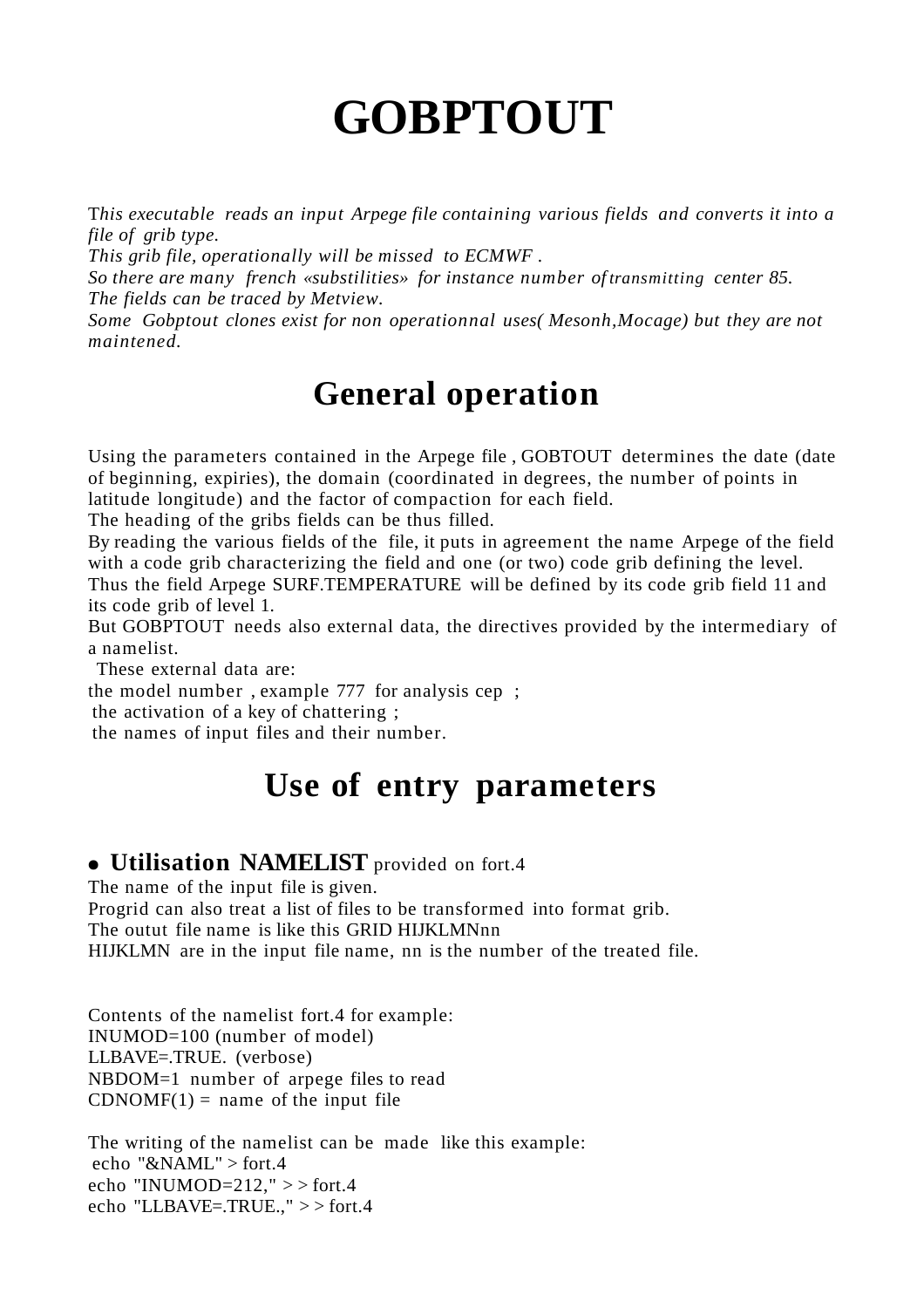# **GOBPTOUT**

T*his executable reads an input Arpege file containing various fields and converts it into a file of grib type.*

*This grib file, operationally will be missed to ECMWF .*

*So there are many french «substilities» for instance number of transmitting center 85. The fields can be traced by Metview.*

*Some Gobptout clones exist for non operationnal uses( Mesonh,Mocage) but they are not maintened.*

## **General operation**

Using the parameters contained in the Arpege file , GOBTOUT determines the date (date of beginning, expiries), the domain (coordinated in degrees, the number of points in latitude longitude) and the factor of compaction for each field.

The heading of the gribs fields can be thus filled.

By reading the various fields of the file, it puts in agreement the name Arpege of the field with a code grib characterizing the field and one (or two) code grib defining the level. Thus the field Arpege SURF.TEMPERATURE will be defined by its code grib field 11 and its code grib of level 1.

But GOBPTOUT needs also external data, the directives provided by the intermediary of a namelist.

These external data are:

the model number , example 777 for analysis cep ;

the activation of a key of chattering ;

the names of input files and their number.

## **Use of entry parameters**

#### ● **Utilisation NAMELIST** provided on fort.4

The name of the input file is given. Progrid can also treat a list of files to be transformed into format grib. The outut file name is like this GRID HIJKLMNnn HIJKLMN are in the input file name, nn is the number of the treated file.

Contents of the namelist fort.4 for example: INUMOD=100 (number of model) LLBAVE=.TRUE. (verbose) NBDOM=1 number of arpege files to read  $CDNOMF(1) = name of the input file$ 

The writing of the namelist can be made like this example: echo "&NAML" > fort.4 echo "INUMOD= $212$ ," > > fort.4 echo "LLBAVE=.TRUE.," > > fort.4